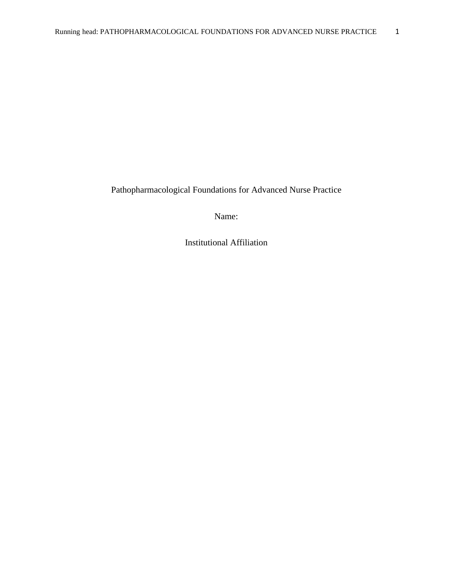Pathopharmacological Foundations for Advanced Nurse Practice

Name:

Institutional Affiliation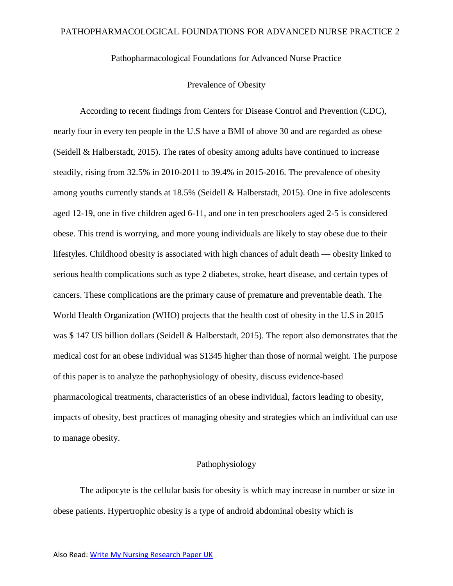Pathopharmacological Foundations for Advanced Nurse Practice

### Prevalence of Obesity

According to recent findings from Centers for Disease Control and Prevention (CDC), nearly four in every ten people in the U.S have a BMI of above 30 and are regarded as obese (Seidell & Halberstadt, 2015). The rates of obesity among adults have continued to increase steadily, rising from 32.5% in 2010-2011 to 39.4% in 2015-2016. The prevalence of obesity among youths currently stands at 18.5% (Seidell & Halberstadt, 2015). One in five adolescents aged 12-19, one in five children aged 6-11, and one in ten preschoolers aged 2-5 is considered obese. This trend is worrying, and more young individuals are likely to stay obese due to their lifestyles. Childhood obesity is associated with high chances of adult death — obesity linked to serious health complications such as type 2 diabetes, stroke, heart disease, and certain types of cancers. These complications are the primary cause of premature and preventable death. The World Health Organization (WHO) projects that the health cost of obesity in the U.S in 2015 was \$ 147 US billion dollars (Seidell & Halberstadt, 2015). The report also demonstrates that the medical cost for an obese individual was \$1345 higher than those of normal weight. The purpose of this paper is to analyze the pathophysiology of obesity, discuss evidence-based pharmacological treatments, characteristics of an obese individual, factors leading to obesity, impacts of obesity, best practices of managing obesity and strategies which an individual can use to manage obesity.

# Pathophysiology

The adipocyte is the cellular basis for obesity is which may increase in number or size in obese patients. Hypertrophic obesity is a type of android abdominal obesity which is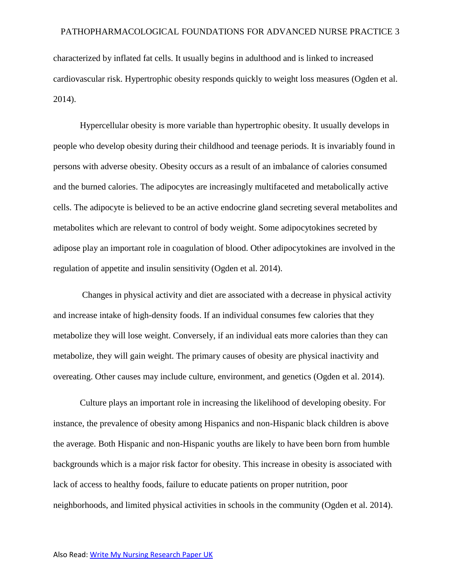characterized by inflated fat cells. It usually begins in adulthood and is linked to increased cardiovascular risk. Hypertrophic obesity responds quickly to weight loss measures (Ogden et al. 2014).

 Hypercellular obesity is more variable than hypertrophic obesity. It usually develops in people who develop obesity during their childhood and teenage periods. It is invariably found in persons with adverse obesity. Obesity occurs as a result of an imbalance of calories consumed and the burned calories. The adipocytes are increasingly multifaceted and metabolically active cells. The adipocyte is believed to be an active endocrine gland secreting several metabolites and metabolites which are relevant to control of body weight. Some adipocytokines secreted by adipose play an important role in coagulation of blood. Other adipocytokines are involved in the regulation of appetite and insulin sensitivity (Ogden et al. 2014).

 Changes in physical activity and diet are associated with a decrease in physical activity and increase intake of high-density foods. If an individual consumes few calories that they metabolize they will lose weight. Conversely, if an individual eats more calories than they can metabolize, they will gain weight. The primary causes of obesity are physical inactivity and overeating. Other causes may include culture, environment, and genetics (Ogden et al. 2014).

Culture plays an important role in increasing the likelihood of developing obesity. For instance, the prevalence of obesity among Hispanics and non-Hispanic black children is above the average. Both Hispanic and non-Hispanic youths are likely to have been born from humble backgrounds which is a major risk factor for obesity. This increase in obesity is associated with lack of access to healthy foods, failure to educate patients on proper nutrition, poor neighborhoods, and limited physical activities in schools in the community (Ogden et al. 2014).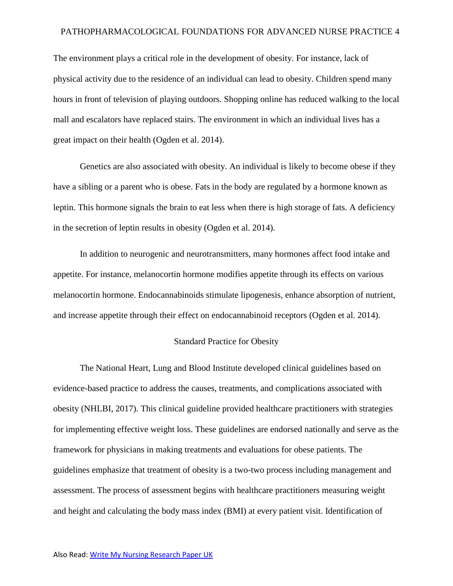The environment plays a critical role in the development of obesity. For instance, lack of physical activity due to the residence of an individual can lead to obesity. Children spend many hours in front of television of playing outdoors. Shopping online has reduced walking to the local mall and escalators have replaced stairs. The environment in which an individual lives has a great impact on their health (Ogden et al. 2014).

Genetics are also associated with obesity. An individual is likely to become obese if they have a sibling or a parent who is obese. Fats in the body are regulated by a hormone known as leptin. This hormone signals the brain to eat less when there is high storage of fats. A deficiency in the secretion of leptin results in obesity (Ogden et al. 2014).

In addition to neurogenic and neurotransmitters, many hormones affect food intake and appetite. For instance, melanocortin hormone modifies appetite through its effects on various melanocortin hormone. Endocannabinoids stimulate lipogenesis, enhance absorption of nutrient, and increase appetite through their effect on endocannabinoid receptors (Ogden et al. 2014).

#### Standard Practice for Obesity

The National Heart, Lung and Blood Institute developed clinical guidelines based on evidence-based practice to address the causes, treatments, and complications associated with obesity (NHLBI, 2017). This clinical guideline provided healthcare practitioners with strategies for implementing effective weight loss. These guidelines are endorsed nationally and serve as the framework for physicians in making treatments and evaluations for obese patients. The guidelines emphasize that treatment of obesity is a two-two process including management and assessment. The process of assessment begins with healthcare practitioners measuring weight and height and calculating the body mass index (BMI) at every patient visit. Identification of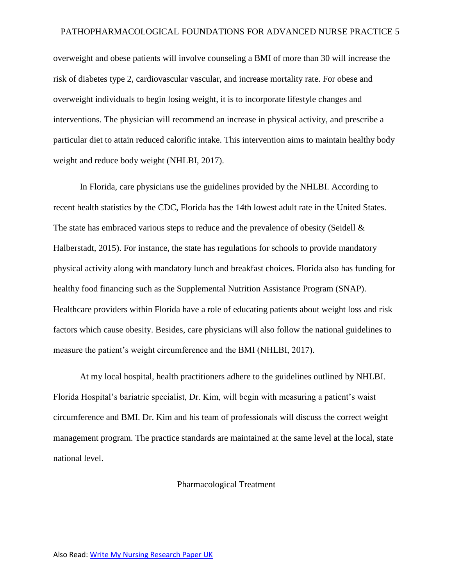overweight and obese patients will involve counseling a BMI of more than 30 will increase the risk of diabetes type 2, cardiovascular vascular, and increase mortality rate. For obese and overweight individuals to begin losing weight, it is to incorporate lifestyle changes and interventions. The physician will recommend an increase in physical activity, and prescribe a particular diet to attain reduced calorific intake. This intervention aims to maintain healthy body weight and reduce body weight (NHLBI, 2017).

 In Florida, care physicians use the guidelines provided by the NHLBI. According to recent health statistics by the CDC, Florida has the 14th lowest adult rate in the United States. The state has embraced various steps to reduce and the prevalence of obesity (Seidell & Halberstadt, 2015). For instance, the state has regulations for schools to provide mandatory physical activity along with mandatory lunch and breakfast choices. Florida also has funding for healthy food financing such as the Supplemental Nutrition Assistance Program (SNAP). Healthcare providers within Florida have a role of educating patients about weight loss and risk factors which cause obesity. Besides, care physicians will also follow the national guidelines to measure the patient's weight circumference and the BMI (NHLBI, 2017).

 At my local hospital, health practitioners adhere to the guidelines outlined by NHLBI. Florida Hospital's bariatric specialist, Dr. Kim, will begin with measuring a patient's waist circumference and BMI. Dr. Kim and his team of professionals will discuss the correct weight management program. The practice standards are maintained at the same level at the local, state national level.

### Pharmacological Treatment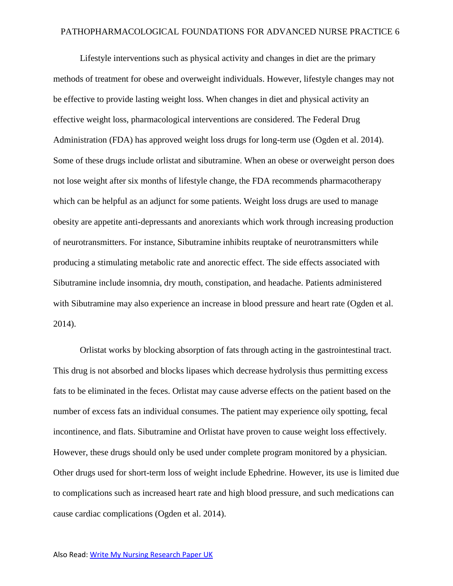Lifestyle interventions such as physical activity and changes in diet are the primary methods of treatment for obese and overweight individuals. However, lifestyle changes may not be effective to provide lasting weight loss. When changes in diet and physical activity an effective weight loss, pharmacological interventions are considered. The Federal Drug Administration (FDA) has approved weight loss drugs for long-term use (Ogden et al. 2014). Some of these drugs include orlistat and sibutramine. When an obese or overweight person does not lose weight after six months of lifestyle change, the FDA recommends pharmacotherapy which can be helpful as an adjunct for some patients. Weight loss drugs are used to manage obesity are appetite anti-depressants and anorexiants which work through increasing production of neurotransmitters. For instance, Sibutramine inhibits reuptake of neurotransmitters while producing a stimulating metabolic rate and anorectic effect. The side effects associated with Sibutramine include insomnia, dry mouth, constipation, and headache. Patients administered with Sibutramine may also experience an increase in blood pressure and heart rate (Ogden et al. 2014).

 Orlistat works by blocking absorption of fats through acting in the gastrointestinal tract. This drug is not absorbed and blocks lipases which decrease hydrolysis thus permitting excess fats to be eliminated in the feces. Orlistat may cause adverse effects on the patient based on the number of excess fats an individual consumes. The patient may experience oily spotting, fecal incontinence, and flats. Sibutramine and Orlistat have proven to cause weight loss effectively. However, these drugs should only be used under complete program monitored by a physician. Other drugs used for short-term loss of weight include Ephedrine. However, its use is limited due to complications such as increased heart rate and high blood pressure, and such medications can cause cardiac complications (Ogden et al. 2014).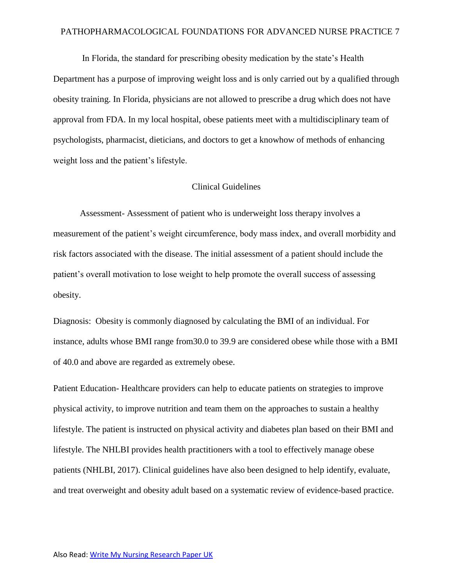In Florida, the standard for prescribing obesity medication by the state's Health Department has a purpose of improving weight loss and is only carried out by a qualified through obesity training. In Florida, physicians are not allowed to prescribe a drug which does not have approval from FDA. In my local hospital, obese patients meet with a multidisciplinary team of psychologists, pharmacist, dieticians, and doctors to get a knowhow of methods of enhancing weight loss and the patient's lifestyle.

## Clinical Guidelines

Assessment- Assessment of patient who is underweight loss therapy involves a measurement of the patient's weight circumference, body mass index, and overall morbidity and risk factors associated with the disease. The initial assessment of a patient should include the patient's overall motivation to lose weight to help promote the overall success of assessing obesity.

Diagnosis: Obesity is commonly diagnosed by calculating the BMI of an individual. For instance, adults whose BMI range from30.0 to 39.9 are considered obese while those with a BMI of 40.0 and above are regarded as extremely obese.

Patient Education- Healthcare providers can help to educate patients on strategies to improve physical activity, to improve nutrition and team them on the approaches to sustain a healthy lifestyle. The patient is instructed on physical activity and diabetes plan based on their BMI and lifestyle. The NHLBI provides health practitioners with a tool to effectively manage obese patients (NHLBI, 2017). Clinical guidelines have also been designed to help identify, evaluate, and treat overweight and obesity adult based on a systematic review of evidence-based practice.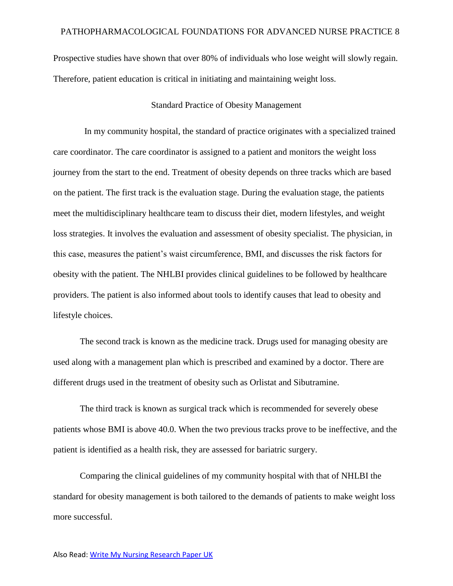Prospective studies have shown that over 80% of individuals who lose weight will slowly regain. Therefore, patient education is critical in initiating and maintaining weight loss.

## Standard Practice of Obesity Management

 In my community hospital, the standard of practice originates with a specialized trained care coordinator. The care coordinator is assigned to a patient and monitors the weight loss journey from the start to the end. Treatment of obesity depends on three tracks which are based on the patient. The first track is the evaluation stage. During the evaluation stage, the patients meet the multidisciplinary healthcare team to discuss their diet, modern lifestyles, and weight loss strategies. It involves the evaluation and assessment of obesity specialist. The physician, in this case, measures the patient's waist circumference, BMI, and discusses the risk factors for obesity with the patient. The NHLBI provides clinical guidelines to be followed by healthcare providers. The patient is also informed about tools to identify causes that lead to obesity and lifestyle choices.

 The second track is known as the medicine track. Drugs used for managing obesity are used along with a management plan which is prescribed and examined by a doctor. There are different drugs used in the treatment of obesity such as Orlistat and Sibutramine.

 The third track is known as surgical track which is recommended for severely obese patients whose BMI is above 40.0. When the two previous tracks prove to be ineffective, and the patient is identified as a health risk, they are assessed for bariatric surgery.

 Comparing the clinical guidelines of my community hospital with that of NHLBI the standard for obesity management is both tailored to the demands of patients to make weight loss more successful.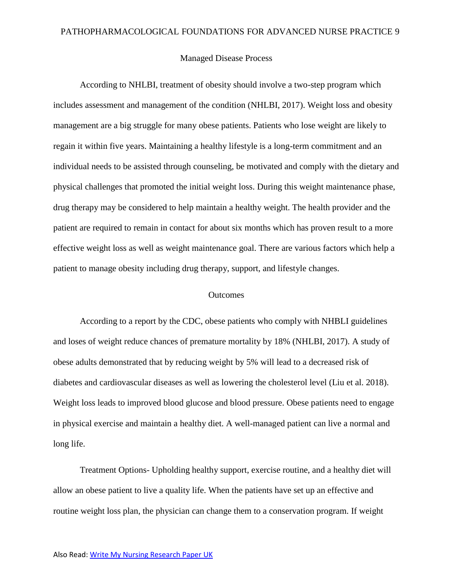### Managed Disease Process

According to NHLBI, treatment of obesity should involve a two-step program which includes assessment and management of the condition (NHLBI, 2017). Weight loss and obesity management are a big struggle for many obese patients. Patients who lose weight are likely to regain it within five years. Maintaining a healthy lifestyle is a long-term commitment and an individual needs to be assisted through counseling, be motivated and comply with the dietary and physical challenges that promoted the initial weight loss. During this weight maintenance phase, drug therapy may be considered to help maintain a healthy weight. The health provider and the patient are required to remain in contact for about six months which has proven result to a more effective weight loss as well as weight maintenance goal. There are various factors which help a patient to manage obesity including drug therapy, support, and lifestyle changes.

## **Outcomes**

According to a report by the CDC, obese patients who comply with NHBLI guidelines and loses of weight reduce chances of premature mortality by 18% (NHLBI, 2017). A study of obese adults demonstrated that by reducing weight by 5% will lead to a decreased risk of diabetes and cardiovascular diseases as well as lowering the cholesterol level (Liu et al. 2018). Weight loss leads to improved blood glucose and blood pressure. Obese patients need to engage in physical exercise and maintain a healthy diet. A well-managed patient can live a normal and long life.

Treatment Options- Upholding healthy support, exercise routine, and a healthy diet will allow an obese patient to live a quality life. When the patients have set up an effective and routine weight loss plan, the physician can change them to a conservation program. If weight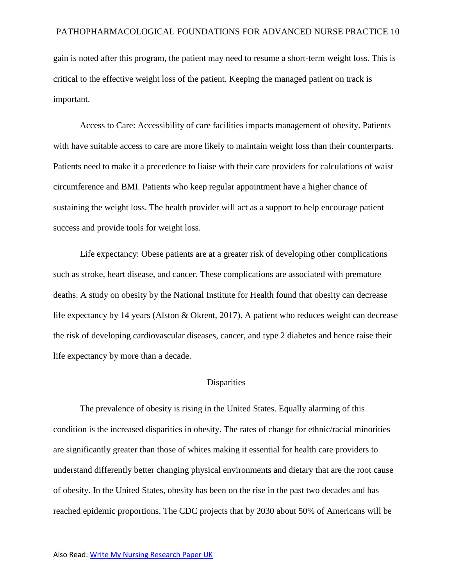gain is noted after this program, the patient may need to resume a short-term weight loss. This is critical to the effective weight loss of the patient. Keeping the managed patient on track is important.

Access to Care: Accessibility of care facilities impacts management of obesity. Patients with have suitable access to care are more likely to maintain weight loss than their counterparts. Patients need to make it a precedence to liaise with their care providers for calculations of waist circumference and BMI. Patients who keep regular appointment have a higher chance of sustaining the weight loss. The health provider will act as a support to help encourage patient success and provide tools for weight loss.

Life expectancy: Obese patients are at a greater risk of developing other complications such as stroke, heart disease, and cancer. These complications are associated with premature deaths. A study on obesity by the National Institute for Health found that obesity can decrease life expectancy by 14 years (Alston & Okrent, 2017). A patient who reduces weight can decrease the risk of developing cardiovascular diseases, cancer, and type 2 diabetes and hence raise their life expectancy by more than a decade.

# **Disparities**

The prevalence of obesity is rising in the United States. Equally alarming of this condition is the increased disparities in obesity. The rates of change for ethnic/racial minorities are significantly greater than those of whites making it essential for health care providers to understand differently better changing physical environments and dietary that are the root cause of obesity. In the United States, obesity has been on the rise in the past two decades and has reached epidemic proportions. The CDC projects that by 2030 about 50% of Americans will be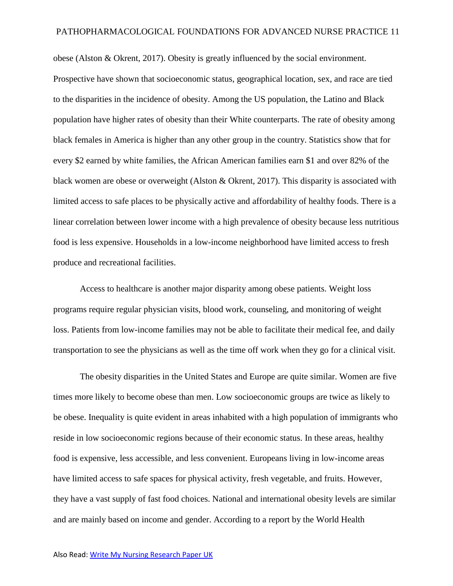obese (Alston & Okrent, 2017). Obesity is greatly influenced by the social environment. Prospective have shown that socioeconomic status, geographical location, sex, and race are tied to the disparities in the incidence of obesity. Among the US population, the Latino and Black population have higher rates of obesity than their White counterparts. The rate of obesity among black females in America is higher than any other group in the country. Statistics show that for every \$2 earned by white families, the African American families earn \$1 and over 82% of the black women are obese or overweight (Alston & Okrent, 2017). This disparity is associated with limited access to safe places to be physically active and affordability of healthy foods. There is a linear correlation between lower income with a high prevalence of obesity because less nutritious food is less expensive. Households in a low-income neighborhood have limited access to fresh produce and recreational facilities.

 Access to healthcare is another major disparity among obese patients. Weight loss programs require regular physician visits, blood work, counseling, and monitoring of weight loss. Patients from low-income families may not be able to facilitate their medical fee, and daily transportation to see the physicians as well as the time off work when they go for a clinical visit.

 The obesity disparities in the United States and Europe are quite similar. Women are five times more likely to become obese than men. Low socioeconomic groups are twice as likely to be obese. Inequality is quite evident in areas inhabited with a high population of immigrants who reside in low socioeconomic regions because of their economic status. In these areas, healthy food is expensive, less accessible, and less convenient. Europeans living in low-income areas have limited access to safe spaces for physical activity, fresh vegetable, and fruits. However, they have a vast supply of fast food choices. National and international obesity levels are similar and are mainly based on income and gender. According to a report by the World Health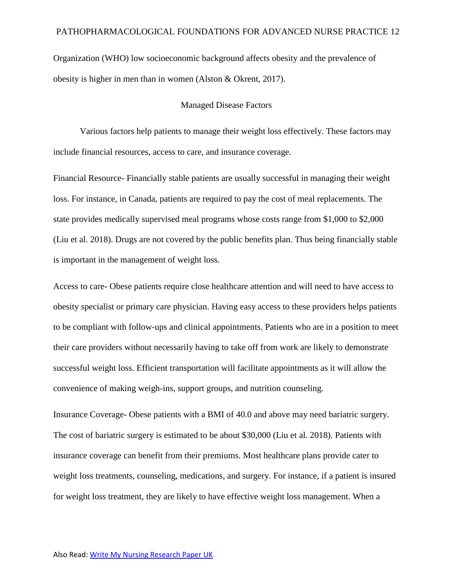Organization (WHO) low socioeconomic background affects obesity and the prevalence of obesity is higher in men than in women (Alston & Okrent, 2017).

## Managed Disease Factors

Various factors help patients to manage their weight loss effectively. These factors may include financial resources, access to care, and insurance coverage.

Financial Resource- Financially stable patients are usually successful in managing their weight loss. For instance, in Canada, patients are required to pay the cost of meal replacements. The state provides medically supervised meal programs whose costs range from \$1,000 to \$2,000 (Liu et al. 2018). Drugs are not covered by the public benefits plan. Thus being financially stable is important in the management of weight loss.

Access to care- Obese patients require close healthcare attention and will need to have access to obesity specialist or primary care physician. Having easy access to these providers helps patients to be compliant with follow-ups and clinical appointments. Patients who are in a position to meet their care providers without necessarily having to take off from work are likely to demonstrate successful weight loss. Efficient transportation will facilitate appointments as it will allow the convenience of making weigh-ins, support groups, and nutrition counseling.

Insurance Coverage- Obese patients with a BMI of 40.0 and above may need bariatric surgery. The cost of bariatric surgery is estimated to be about \$30,000 (Liu et al. 2018). Patients with insurance coverage can benefit from their premiums. Most healthcare plans provide cater to weight loss treatments, counseling, medications, and surgery. For instance, if a patient is insured for weight loss treatment, they are likely to have effective weight loss management. When a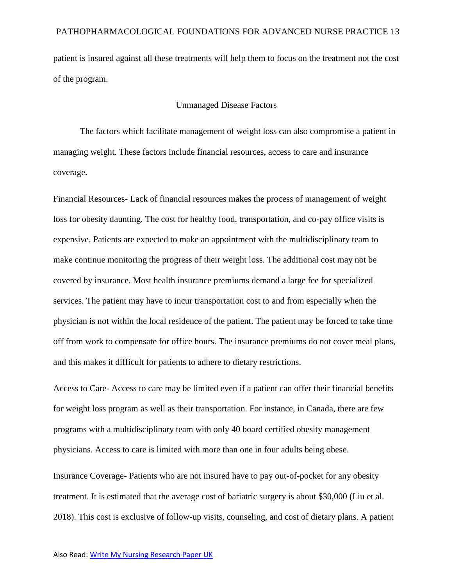patient is insured against all these treatments will help them to focus on the treatment not the cost of the program.

# Unmanaged Disease Factors

The factors which facilitate management of weight loss can also compromise a patient in managing weight. These factors include financial resources, access to care and insurance coverage.

Financial Resources- Lack of financial resources makes the process of management of weight loss for obesity daunting. The cost for healthy food, transportation, and co-pay office visits is expensive. Patients are expected to make an appointment with the multidisciplinary team to make continue monitoring the progress of their weight loss. The additional cost may not be covered by insurance. Most health insurance premiums demand a large fee for specialized services. The patient may have to incur transportation cost to and from especially when the physician is not within the local residence of the patient. The patient may be forced to take time off from work to compensate for office hours. The insurance premiums do not cover meal plans, and this makes it difficult for patients to adhere to dietary restrictions.

Access to Care- Access to care may be limited even if a patient can offer their financial benefits for weight loss program as well as their transportation. For instance, in Canada, there are few programs with a multidisciplinary team with only 40 board certified obesity management physicians. Access to care is limited with more than one in four adults being obese.

Insurance Coverage- Patients who are not insured have to pay out-of-pocket for any obesity treatment. It is estimated that the average cost of bariatric surgery is about \$30,000 (Liu et al. 2018). This cost is exclusive of follow-up visits, counseling, and cost of dietary plans. A patient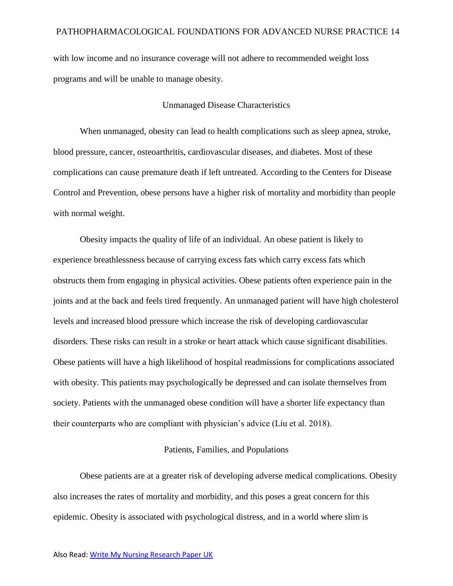with low income and no insurance coverage will not adhere to recommended weight loss programs and will be unable to manage obesity.

# Unmanaged Disease Characteristics

When unmanaged, obesity can lead to health complications such as sleep apnea, stroke, blood pressure, cancer, osteoarthritis, cardiovascular diseases, and diabetes. Most of these complications can cause premature death if left untreated. According to the Centers for Disease Control and Prevention, obese persons have a higher risk of mortality and morbidity than people with normal weight.

 Obesity impacts the quality of life of an individual. An obese patient is likely to experience breathlessness because of carrying excess fats which carry excess fats which obstructs them from engaging in physical activities. Obese patients often experience pain in the joints and at the back and feels tired frequently. An unmanaged patient will have high cholesterol levels and increased blood pressure which increase the risk of developing cardiovascular disorders. These risks can result in a stroke or heart attack which cause significant disabilities. Obese patients will have a high likelihood of hospital readmissions for complications associated with obesity. This patients may psychologically be depressed and can isolate themselves from society. Patients with the unmanaged obese condition will have a shorter life expectancy than their counterparts who are compliant with physician's advice (Liu et al. 2018).

# Patients, Families, and Populations

Obese patients are at a greater risk of developing adverse medical complications. Obesity also increases the rates of mortality and morbidity, and this poses a great concern for this epidemic. Obesity is associated with psychological distress, and in a world where slim is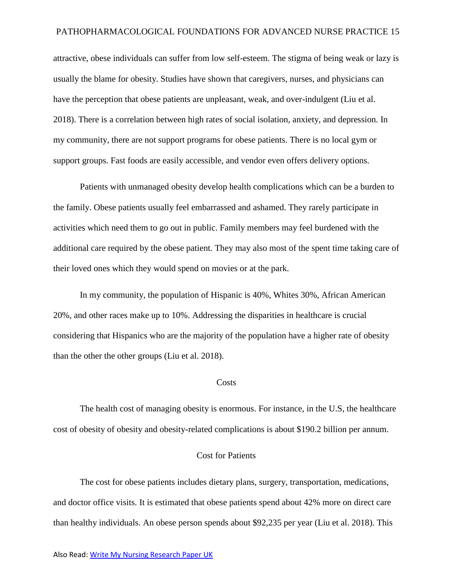attractive, obese individuals can suffer from low self-esteem. The stigma of being weak or lazy is usually the blame for obesity. Studies have shown that caregivers, nurses, and physicians can have the perception that obese patients are unpleasant, weak, and over-indulgent (Liu et al. 2018). There is a correlation between high rates of social isolation, anxiety, and depression. In my community, there are not support programs for obese patients. There is no local gym or support groups. Fast foods are easily accessible, and vendor even offers delivery options.

 Patients with unmanaged obesity develop health complications which can be a burden to the family. Obese patients usually feel embarrassed and ashamed. They rarely participate in activities which need them to go out in public. Family members may feel burdened with the additional care required by the obese patient. They may also most of the spent time taking care of their loved ones which they would spend on movies or at the park.

 In my community, the population of Hispanic is 40%, Whites 30%, African American 20%, and other races make up to 10%. Addressing the disparities in healthcare is crucial considering that Hispanics who are the majority of the population have a higher rate of obesity than the other the other groups (Liu et al. 2018).

### **Costs**

The health cost of managing obesity is enormous. For instance, in the U.S, the healthcare cost of obesity of obesity and obesity-related complications is about \$190.2 billion per annum.

# Cost for Patients

The cost for obese patients includes dietary plans, surgery, transportation, medications, and doctor office visits. It is estimated that obese patients spend about 42% more on direct care than healthy individuals. An obese person spends about \$92,235 per year (Liu et al. 2018). This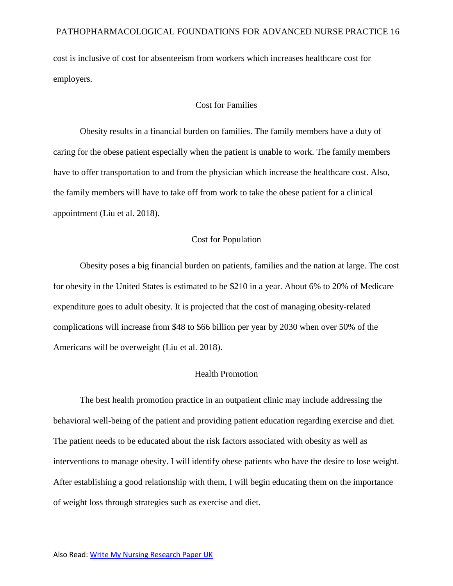cost is inclusive of cost for absenteeism from workers which increases healthcare cost for employers.

## Cost for Families

Obesity results in a financial burden on families. The family members have a duty of caring for the obese patient especially when the patient is unable to work. The family members have to offer transportation to and from the physician which increase the healthcare cost. Also, the family members will have to take off from work to take the obese patient for a clinical appointment (Liu et al. 2018).

# Cost for Population

Obesity poses a big financial burden on patients, families and the nation at large. The cost for obesity in the United States is estimated to be \$210 in a year. About 6% to 20% of Medicare expenditure goes to adult obesity. It is projected that the cost of managing obesity-related complications will increase from \$48 to \$66 billion per year by 2030 when over 50% of the Americans will be overweight (Liu et al. 2018).

### Health Promotion

The best health promotion practice in an outpatient clinic may include addressing the behavioral well-being of the patient and providing patient education regarding exercise and diet. The patient needs to be educated about the risk factors associated with obesity as well as interventions to manage obesity. I will identify obese patients who have the desire to lose weight. After establishing a good relationship with them, I will begin educating them on the importance of weight loss through strategies such as exercise and diet.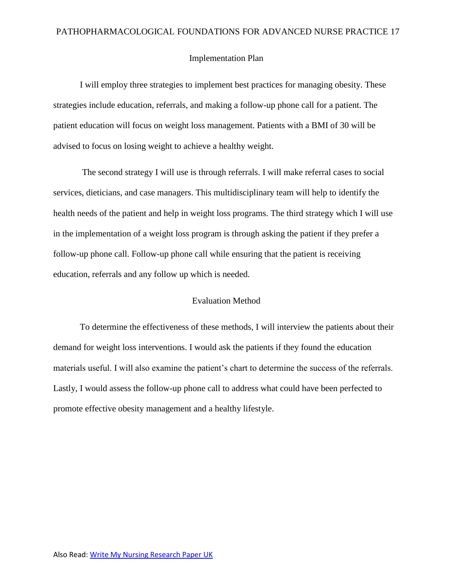### Implementation Plan

I will employ three strategies to implement best practices for managing obesity. These strategies include education, referrals, and making a follow-up phone call for a patient. The patient education will focus on weight loss management. Patients with a BMI of 30 will be advised to focus on losing weight to achieve a healthy weight.

 The second strategy I will use is through referrals. I will make referral cases to social services, dieticians, and case managers. This multidisciplinary team will help to identify the health needs of the patient and help in weight loss programs. The third strategy which I will use in the implementation of a weight loss program is through asking the patient if they prefer a follow-up phone call. Follow-up phone call while ensuring that the patient is receiving education, referrals and any follow up which is needed.

# Evaluation Method

To determine the effectiveness of these methods, I will interview the patients about their demand for weight loss interventions. I would ask the patients if they found the education materials useful. I will also examine the patient's chart to determine the success of the referrals. Lastly, I would assess the follow-up phone call to address what could have been perfected to promote effective obesity management and a healthy lifestyle.